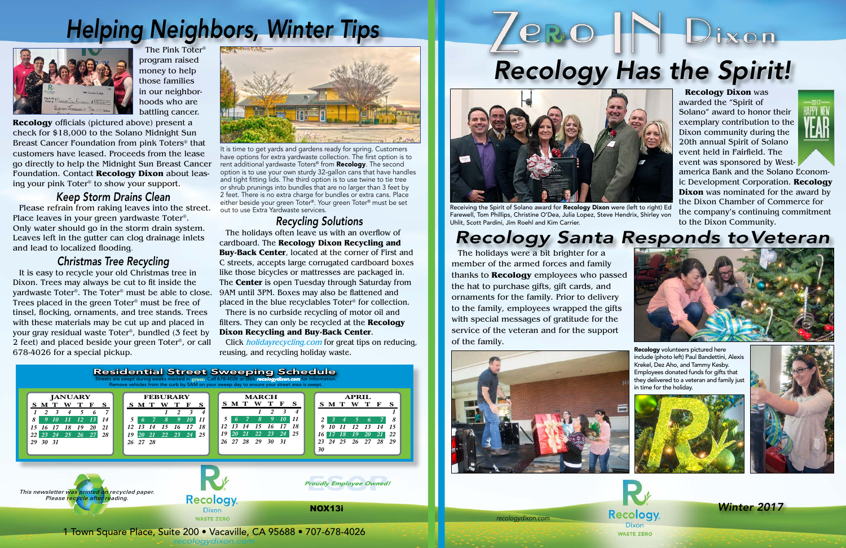*recologydixon.com*



The Pink Toter® program raised money to help those families in our neighborhoods who are battling cancer.

**Recology** officials (pictured above) present a check for \$18,000 to the Solano Midnight Sun Breast Cancer Foundation from pink Toters® that customers have leased. Proceeds from the lease go directly to help the Midnight Sun Breast Cancer Foundation. Contact **Recology Dixon** about leasing your pink Toter® to show your support.

> Click *holidayrecycling.com* for great tips on reducing, reusing, and recycling holiday waste.

#### *Keep Storm Drains Clean*

Please refrain from raking leaves into the street. Place leaves in your green yardwaste Toter®. Only water should go in the storm drain system. Leaves left in the gutter can clog drainage inlets and lead to localized flooding.

#### *Christmas Tree Recycling*

It is easy to recycle your old Christmas tree in Dixon. Trees may always be cut to fit inside the yardwaste Toter®. The Toter® must be able to close. 9AM until 3PM. Boxes may also be flattened and Trees placed in the green Toter® must be free of tinsel, flocking, ornaments, and tree stands. Trees with these materials may be cut up and placed in your gray residual waste Toter®, bundled (3 feet by 2 feet) and placed beside your green Toter®, or call 678-4026 for a special pickup.



# *Helping Neighbors, Winter Tips*



#### *Recycling Solutions*

The holidays often leave us with an overflow of cardboard. The **Recology Dixon Recycling and Buy-Back Center**, located at the corner of First and C streets, accepts large corrugated cardboard boxes like those bicycles or mattresses are packaged in. The **Center** is open Tuesday through Saturday from placed in the blue recyclables Toter® for collection.

There is no curbside recycling of motor oil and filters. They can only be recycled at the **Recology Dixon Recycling and Buy-Back Center**.

It is time to get yards and gardens ready for spring. Customers have options for extra yardwaste collection. The first option is to rent additional yardwaste Toters<sup>®</sup> from **Recology**. The second option is to use your own sturdy 32-gallon cans that have handles and tight fitting lids. The third option is to use twine to tie tree or shrub prunings into bundles that are no larger than 3 feet by 2 feet. There is no extra charge for bundles or extra cans. Place either beside your green Toter®. Your green Toter® must be set out to use Extra Yardwaste services.

# *Recology Santa Responds to Veteran*



The holidays were a bit brighter for a member of the armed forces and family thanks to **Recology** employees who passed the hat to purchase gifts, gift cards, and ornaments for the family. Prior to delivery to the family, employees wrapped the gifts with special messages of gratitude for the service of the veteran and for the support of the family.

Recology volunteers pictured here











*Winter 2017*